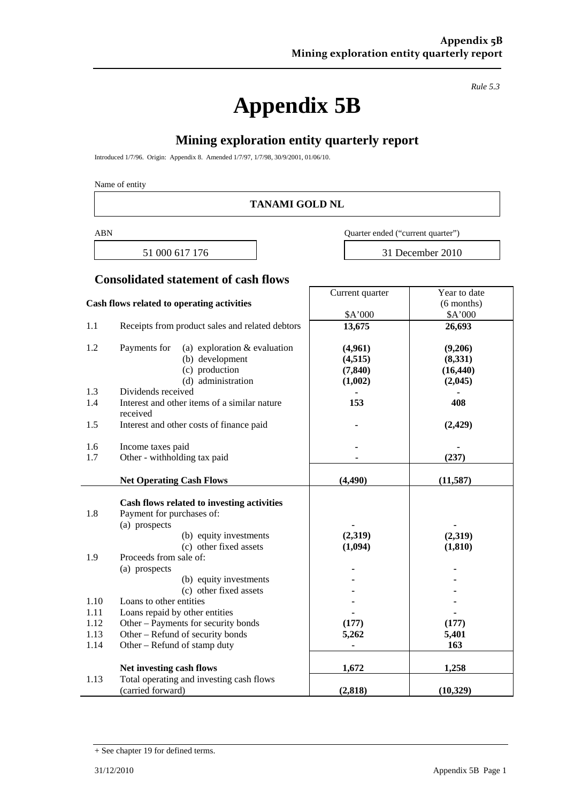**Appendix 5B** 

*Rule 5.3* 

# **Mining exploration entity quarterly report**

Introduced 1/7/96. Origin: Appendix 8. Amended 1/7/97, 1/7/98, 30/9/2001, 01/06/10.

Name of entity

## **TANAMI GOLD NL**

ABN Quarter ended ("current quarter")

51 000 617 176 31 December 2010

#### **Consolidated statement of cash flows**

|                                            |                                                                         | Current quarter | Year to date |
|--------------------------------------------|-------------------------------------------------------------------------|-----------------|--------------|
| Cash flows related to operating activities |                                                                         |                 | $(6$ months) |
|                                            |                                                                         | \$A'000         | \$A'000      |
| 1.1                                        | Receipts from product sales and related debtors                         | 13,675          | 26,693       |
| 1.2                                        | Payments for<br>(a) exploration $&$ evaluation                          | (4,961)         | (9,206)      |
|                                            | (b) development                                                         | (4,515)         | (8,331)      |
|                                            | (c) production                                                          | (7, 840)        | (16, 440)    |
|                                            | (d) administration                                                      | (1,002)         | (2,045)      |
| 1.3                                        | Dividends received                                                      |                 |              |
| 1.4                                        | Interest and other items of a similar nature<br>received                | 153             | 408          |
| 1.5                                        | Interest and other costs of finance paid                                |                 | (2,429)      |
| 1.6                                        | Income taxes paid                                                       |                 |              |
| 1.7                                        | Other - withholding tax paid                                            |                 | (237)        |
|                                            | <b>Net Operating Cash Flows</b>                                         | (4, 490)        | (11, 587)    |
| 1.8                                        | Cash flows related to investing activities<br>Payment for purchases of: |                 |              |
|                                            | (a) prospects                                                           |                 |              |
|                                            | (b) equity investments                                                  | (2,319)         | (2,319)      |
|                                            | (c) other fixed assets                                                  | (1,094)         | (1, 810)     |
| 1.9                                        | Proceeds from sale of:                                                  |                 |              |
|                                            | (a) prospects                                                           |                 |              |
|                                            | (b) equity investments                                                  |                 |              |
|                                            | (c) other fixed assets                                                  |                 |              |
| 1.10                                       | Loans to other entities                                                 |                 |              |
| 1.11                                       | Loans repaid by other entities                                          |                 |              |
| 1.12                                       | Other – Payments for security bonds                                     | (177)           | (177)        |
| 1.13                                       | Other - Refund of security bonds                                        | 5,262           | 5,401        |
| 1.14                                       | Other – Refund of stamp duty                                            |                 | 163          |
|                                            | Net investing cash flows                                                | 1,672           | 1,258        |
| 1.13                                       | Total operating and investing cash flows<br>(carried forward)           | (2, 818)        | (10, 329)    |

<sup>+</sup> See chapter 19 for defined terms.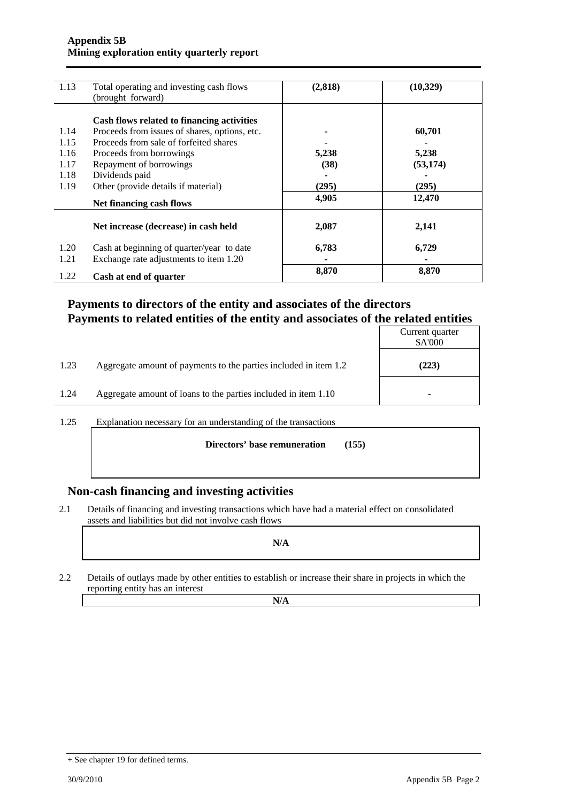| 1.13         | Total operating and investing cash flows<br>(brought forward)                           | (2,818) | (10, 329) |
|--------------|-----------------------------------------------------------------------------------------|---------|-----------|
|              | Cash flows related to financing activities                                              |         |           |
| 1.14<br>1.15 | Proceeds from issues of shares, options, etc.<br>Proceeds from sale of forfeited shares |         | 60,701    |
| 1.16         | Proceeds from borrowings                                                                | 5,238   | 5,238     |
| 1.17         | Repayment of borrowings                                                                 | (38)    | (53, 174) |
| 1.18         | Dividends paid                                                                          |         |           |
| 1.19         | Other (provide details if material)                                                     | (295)   | (295)     |
|              | Net financing cash flows                                                                | 4,905   | 12,470    |
|              | Net increase (decrease) in cash held                                                    | 2,087   | 2,141     |
| 1.20         | Cash at beginning of quarter/year to date                                               | 6,783   | 6,729     |
| 1.21         | Exchange rate adjustments to item 1.20                                                  |         |           |
| 1.22         | Cash at end of quarter                                                                  | 8,870   | 8,870     |

## **Payments to directors of the entity and associates of the directors Payments to related entities of the entity and associates of the related entities**

|                                                                          | Current quarter<br>\$A'000 |
|--------------------------------------------------------------------------|----------------------------|
| 1.23<br>Aggregate amount of payments to the parties included in item 1.2 | (223)                      |
| 1.24<br>Aggregate amount of loans to the parties included in item 1.10   |                            |

1.25 Explanation necessary for an understanding of the transactions

**Directors' base remuneration (155)** 

# **Non-cash financing and investing activities**

2.1 Details of financing and investing transactions which have had a material effect on consolidated assets and liabilities but did not involve cash flows

**N/A** 

2.2 Details of outlays made by other entities to establish or increase their share in projects in which the reporting entity has an interest

**N/A** 

<sup>+</sup> See chapter 19 for defined terms.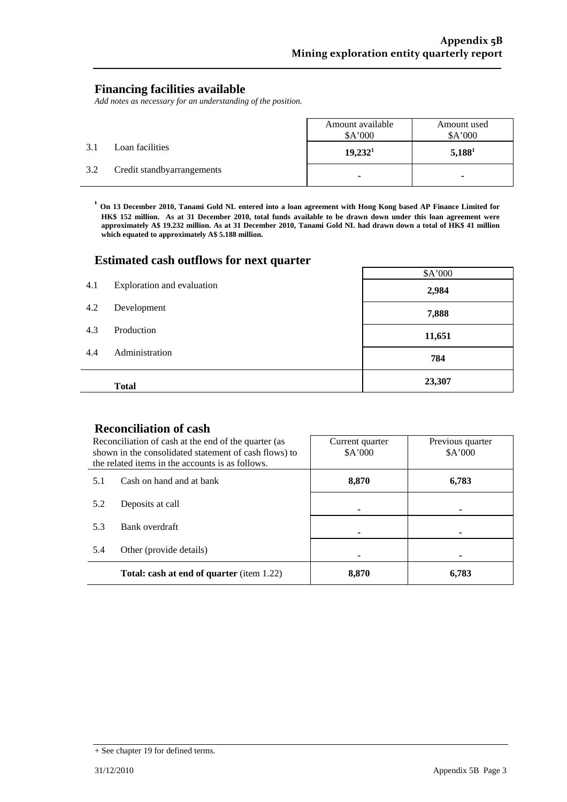### **Financing facilities available**

*Add notes as necessary for an understanding of the position.* 

|     |                            | Amount available<br>A'000 | Amount used<br>A'000 |
|-----|----------------------------|---------------------------|----------------------|
| 3.1 | Loan facilities            | $19,232^1$                | $5,188^1$            |
| 3.2 | Credit standbyarrangements |                           | ۰                    |

**<sup>1</sup> On 13 December 2010, Tanami Gold NL entered into a loan agreement with Hong Kong based AP Finance Limited for HK\$ 152 million. As at 31 December 2010, total funds available to be drawn down under this loan agreement were approximately A\$ 19.232 million. As at 31 December 2010, Tanami Gold NL had drawn down a total of HK\$ 41 million which equated to approximately A\$ 5.188 million.** 

 $\mathbf{r}$ 

## **Estimated cash outflows for next quarter**

|     |                            | \$A'000 |
|-----|----------------------------|---------|
| 4.1 | Exploration and evaluation | 2,984   |
| 4.2 | Development                | 7,888   |
| 4.3 | Production                 | 11,651  |
| 4.4 | Administration             | 784     |
|     | <b>Total</b>               | 23,307  |

### **Reconciliation of cash**

| Reconciliation of cash at the end of the quarter (as<br>shown in the consolidated statement of cash flows) to<br>the related items in the accounts is as follows. | Current quarter<br>A'000 | Previous quarter<br>A'000 |  |
|-------------------------------------------------------------------------------------------------------------------------------------------------------------------|--------------------------|---------------------------|--|
| Cash on hand and at bank<br>5.1                                                                                                                                   | 8,870                    | 6,783                     |  |
| 5.2<br>Deposits at call                                                                                                                                           |                          |                           |  |
| 5.3<br>Bank overdraft                                                                                                                                             |                          |                           |  |
| 5.4<br>Other (provide details)                                                                                                                                    |                          |                           |  |
| <b>Total: cash at end of quarter</b> (item 1.22)                                                                                                                  | 8,870                    | 6,783                     |  |

<sup>+</sup> See chapter 19 for defined terms.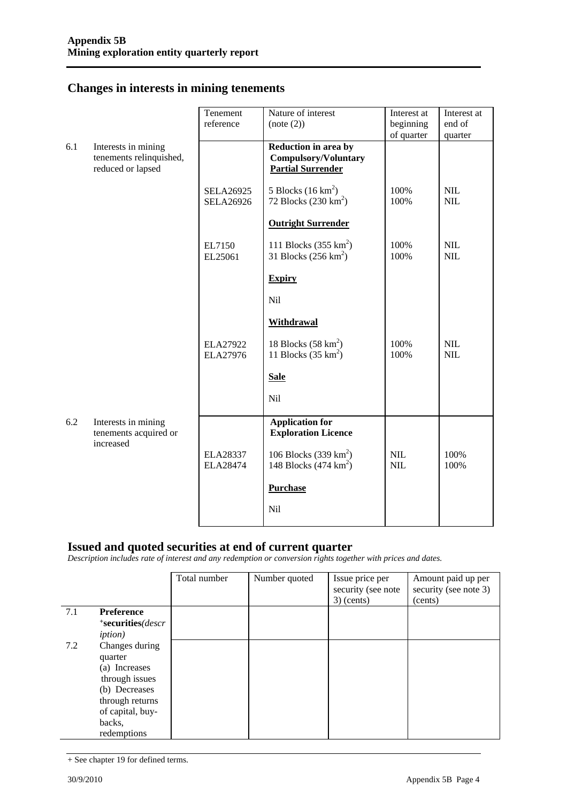## **Changes in interests in mining tenements**

|     |                                                                     | Tenement<br>reference  | Nature of interest<br>(note (2))                                                | Interest at<br>beginning<br>of quarter | Interest at<br>end of<br>quarter |
|-----|---------------------------------------------------------------------|------------------------|---------------------------------------------------------------------------------|----------------------------------------|----------------------------------|
| 6.1 | Interests in mining<br>tenements relinquished,<br>reduced or lapsed |                        | Reduction in area by<br><b>Compulsory/Voluntary</b><br><b>Partial Surrender</b> |                                        |                                  |
|     |                                                                     | SELA26925<br>SELA26926 | 5 Blocks $(16 \text{ km}^2)$<br>72 Blocks $(230 \text{ km}^2)$                  | 100%<br>100%                           | <b>NIL</b><br>$\text{NIL}$       |
|     |                                                                     |                        | <b>Outright Surrender</b>                                                       |                                        |                                  |
|     |                                                                     | EL7150<br>EL25061      | 111 Blocks $(355 \text{ km}^2)$<br>31 Blocks $(256 \text{ km}^2)$               | 100%<br>100%                           | $NIL$<br><b>NIL</b>              |
|     |                                                                     |                        | <b>Expiry</b>                                                                   |                                        |                                  |
|     |                                                                     |                        | N <sub>il</sub>                                                                 |                                        |                                  |
|     |                                                                     |                        | <b>Withdrawal</b>                                                               |                                        |                                  |
|     |                                                                     | ELA27922<br>ELA27976   | 18 Blocks $(58 \text{ km}^2)$<br>11 Blocks $(35 \text{ km}^2)$                  | 100%<br>100%                           | <b>NIL</b><br><b>NIL</b>         |
|     |                                                                     |                        | <b>Sale</b>                                                                     |                                        |                                  |
|     |                                                                     |                        | <b>Nil</b>                                                                      |                                        |                                  |
| 6.2 | Interests in mining<br>tenements acquired or                        |                        | <b>Application for</b><br><b>Exploration Licence</b>                            |                                        |                                  |
|     | increased                                                           | ELA28337<br>ELA28474   | 106 Blocks $(339 \text{ km}^2)$<br>148 Blocks $(474 \text{ km}^2)$              | <b>NIL</b><br>$\text{NIL}$             | 100%<br>100%                     |
|     |                                                                     |                        | <b>Purchase</b>                                                                 |                                        |                                  |
|     |                                                                     |                        | Nil                                                                             |                                        |                                  |

#### **Issued and quoted securities at end of current quarter**

*Description includes rate of interest and any redemption or conversion rights together with prices and dates.* 

|     |                                                                                                  | Total number | Number quoted | Issue price per<br>security (see note<br>$3)$ (cents) | Amount paid up per<br>security (see note 3)<br>(cents) |
|-----|--------------------------------------------------------------------------------------------------|--------------|---------------|-------------------------------------------------------|--------------------------------------------------------|
| 7.1 | <b>Preference</b><br>*securities(descr                                                           |              |               |                                                       |                                                        |
| 7.2 | <i>iption</i> )<br>Changes during<br>quarter<br>(a) Increases<br>through issues<br>(b) Decreases |              |               |                                                       |                                                        |
|     | through returns<br>of capital, buy-<br>backs,<br>redemptions                                     |              |               |                                                       |                                                        |

<sup>+</sup> See chapter 19 for defined terms.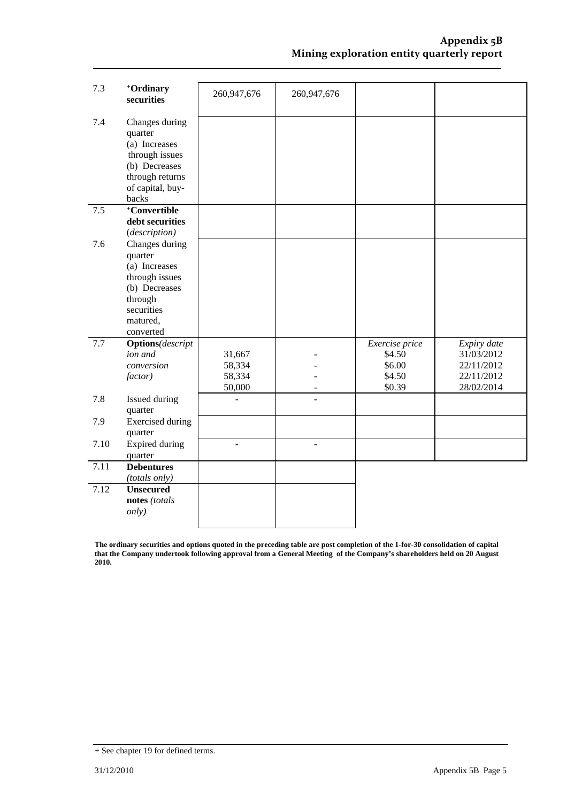| 7.3  | +Ordinary<br>securities                                                                                                         | 260,947,676                          | 260,947,676 |                                                        |                                                                     |
|------|---------------------------------------------------------------------------------------------------------------------------------|--------------------------------------|-------------|--------------------------------------------------------|---------------------------------------------------------------------|
| 7.4  | Changes during<br>quarter<br>(a) Increases<br>through issues<br>(b) Decreases<br>through returns<br>of capital, buy-<br>backs   |                                      |             |                                                        |                                                                     |
| 7.5  | +Convertible<br>debt securities<br>(description)                                                                                |                                      |             |                                                        |                                                                     |
| 7.6  | Changes during<br>quarter<br>(a) Increases<br>through issues<br>(b) Decreases<br>through<br>securities<br>matured,<br>converted |                                      |             |                                                        |                                                                     |
| 7.7  | <b>Options</b> (descript<br>ion and<br>conversion<br>factor)                                                                    | 31,667<br>58,334<br>58,334<br>50,000 |             | Exercise price<br>\$4.50<br>\$6.00<br>\$4.50<br>\$0.39 | Expiry date<br>31/03/2012<br>22/11/2012<br>22/11/2012<br>28/02/2014 |
| 7.8  | Issued during<br>quarter                                                                                                        |                                      |             |                                                        |                                                                     |
| 7.9  | <b>Exercised</b> during<br>quarter                                                                                              |                                      |             |                                                        |                                                                     |
| 7.10 | <b>Expired during</b><br>quarter                                                                                                |                                      |             |                                                        |                                                                     |
| 7.11 | <b>Debentures</b><br><i>(totals only)</i>                                                                                       |                                      |             |                                                        |                                                                     |
| 7.12 | <b>Unsecured</b><br>notes (totals<br>only)                                                                                      |                                      |             |                                                        |                                                                     |

**The ordinary securities and options quoted in the preceding table are post completion of the 1-for-30 consolidation of capital that the Company undertook following approval from a General Meeting of the Company's shareholders held on 20 August 2010.** 

<sup>+</sup> See chapter 19 for defined terms.